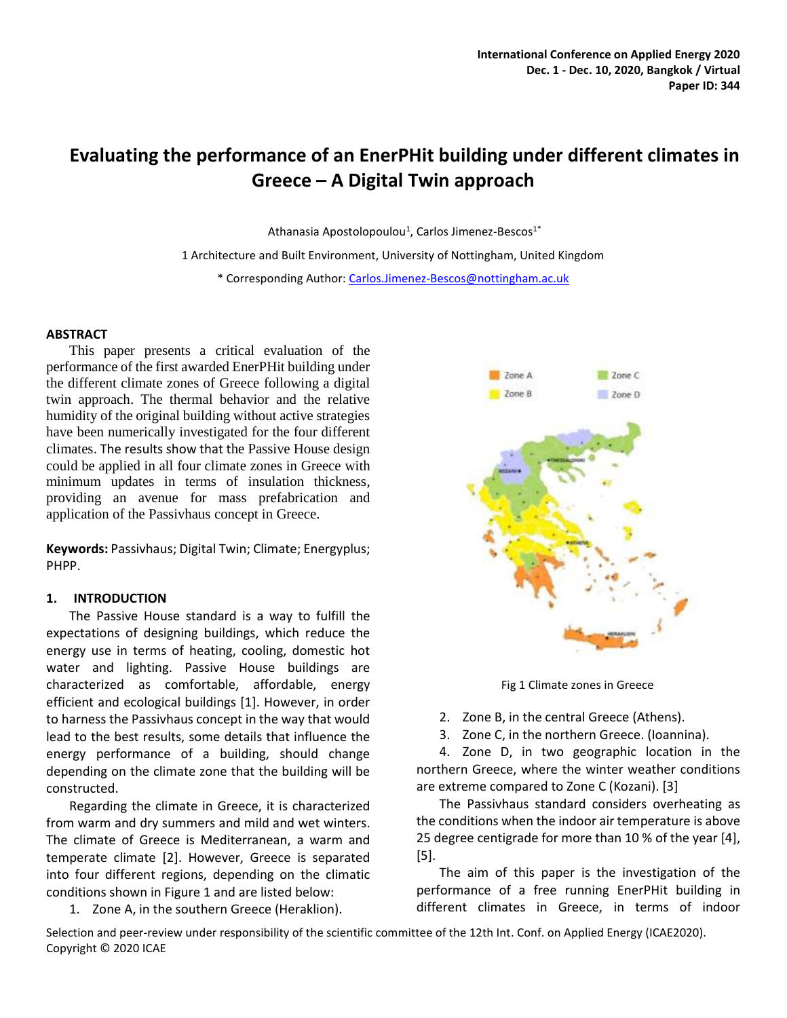# **Evaluating the performance of an EnerPHit building under different climates in Greece – A Digital Twin approach**

Athanasia Apostolopoulou<sup>1</sup>, Carlos Jimenez-Bescos<sup>1\*</sup>

1 Architecture and Built Environment, University of Nottingham, United Kingdom

\* Corresponding Author[: Carlos.Jimenez-Bescos@nottingham.ac.uk](mailto:Carlos.Jimenez-Bescos@nottingham.ac.uk)

## **ABSTRACT**

This paper presents a critical evaluation of the performance of the first awarded EnerPHit building under the different climate zones of Greece following a digital twin approach. The thermal behavior and the relative humidity of the original building without active strategies have been numerically investigated for the four different climates. The results show that the Passive House design could be applied in all four climate zones in Greece with minimum updates in terms of insulation thickness, providing an avenue for mass prefabrication and application of the Passivhaus concept in Greece.

**Keywords:** Passivhaus; Digital Twin; Climate; Energyplus; PHPP.

#### **1. INTRODUCTION**

The Passive House standard is a way to fulfill the expectations of designing buildings, which reduce the energy use in terms of heating, cooling, domestic hot water and lighting. Passive House buildings are characterized as comfortable, affordable, energy efficient and ecological buildings [1]. However, in order to harness the Passivhaus concept in the way that would lead to the best results, some details that influence the energy performance of a building, should change depending on the climate zone that the building will be constructed.

Regarding the climate in Greece, it is characterized from warm and dry summers and mild and wet winters. The climate of Greece is Mediterranean, a warm and temperate climate [2]. However, Greece is separated into four different regions, depending on the climatic conditions shown in Figure 1 and are listed below:

1. Zone A, in the southern Greece (Heraklion).



Fig 1 Climate zones in Greece

2. Zone B, in the central Greece (Athens).

3. Zone C, in the northern Greece. (Ioannina).

4. Zone D, in two geographic location in the northern Greece, where the winter weather conditions are extreme compared to Zone C (Kozani). [3]

The Passivhaus standard considers overheating as the conditions when the indoor air temperature is above 25 degree centigrade for more than 10 % of the year [4], [5].

The aim of this paper is the investigation of the performance of a free running EnerPHit building in different climates in Greece, in terms of indoor

Selection and peer-review under responsibility of the scientific committee of the 12th Int. Conf. on Applied Energy (ICAE2020). Copyright © 2020 ICAE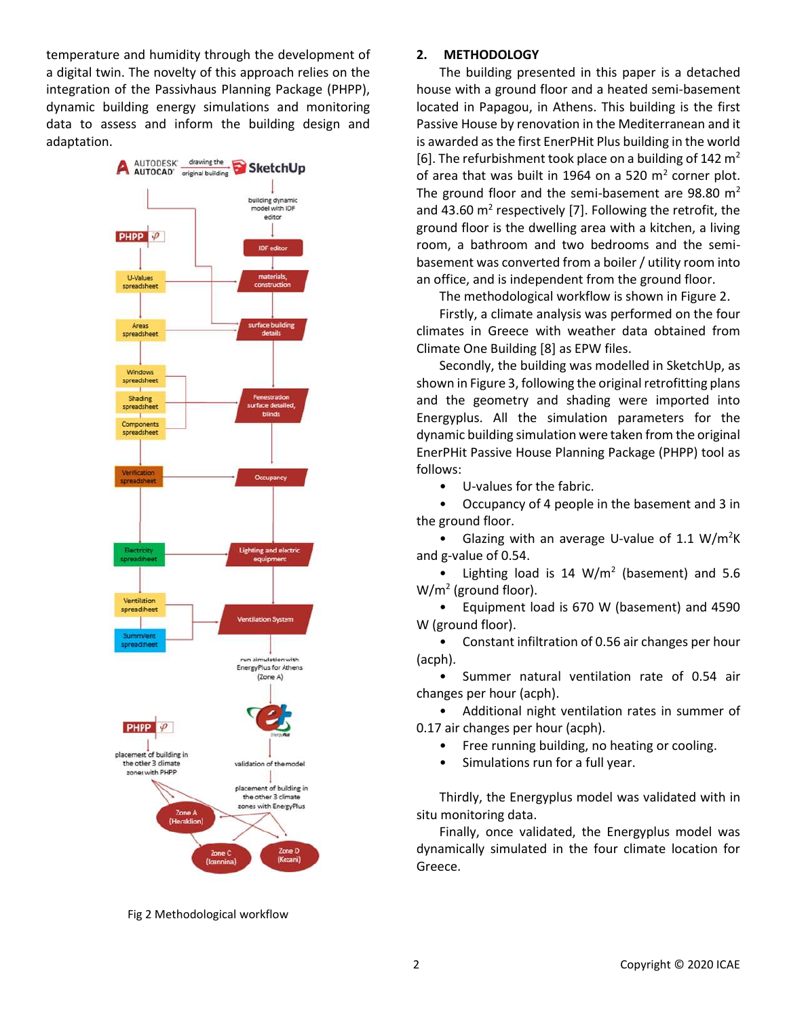temperature and humidity through the development of a digital twin. The novelty of this approach relies on the integration of the Passivhaus Planning Package (PHPP), dynamic building energy simulations and monitoring data to assess and inform the building design and adaptation.



Fig 2 Methodological workflow

## **2. METHODOLOGY**

The building presented in this paper is a detached house with a ground floor and a heated semi-basement located in Papagou, in Athens. This building is the first Passive House by renovation in the Mediterranean and it is awarded as the first EnerPHit Plus building in the world [6]. The refurbishment took place on a building of 142  $m<sup>2</sup>$ of area that was built in 1964 on a 520  $m^2$  corner plot. The ground floor and the semi-basement are 98.80  $m<sup>2</sup>$ and 43.60  $m^2$  respectively [7]. Following the retrofit, the ground floor is the dwelling area with a kitchen, a living room, a bathroom and two bedrooms and the semibasement was converted from a boiler / utility room into an office, and is independent from the ground floor.

The methodological workflow is shown in Figure 2.

Firstly, a climate analysis was performed on the four climates in Greece with weather data obtained from Climate One Building [8] as EPW files.

Secondly, the building was modelled in SketchUp, as shown in Figure 3, following the original retrofitting plans and the geometry and shading were imported into Energyplus. All the simulation parameters for the dynamic building simulation were taken from the original EnerPHit Passive House Planning Package (PHPP) tool as follows:

• U-values for the fabric.

• Occupancy of 4 people in the basement and 3 in the ground floor.

• Glazing with an average U-value of 1.1 W/m<sup>2</sup>K and g-value of 0.54.

• Lighting load is  $14 \, \text{W/m}^2$  (basement) and 5.6 W/m<sup>2</sup> (ground floor).

• Equipment load is 670 W (basement) and 4590 W (ground floor).

• Constant infiltration of 0.56 air changes per hour (acph).

• Summer natural ventilation rate of 0.54 air changes per hour (acph).

• Additional night ventilation rates in summer of 0.17 air changes per hour (acph).

- Free running building, no heating or cooling.
- Simulations run for a full year.

Thirdly, the Energyplus model was validated with in situ monitoring data.

Finally, once validated, the Energyplus model was dynamically simulated in the four climate location for Greece.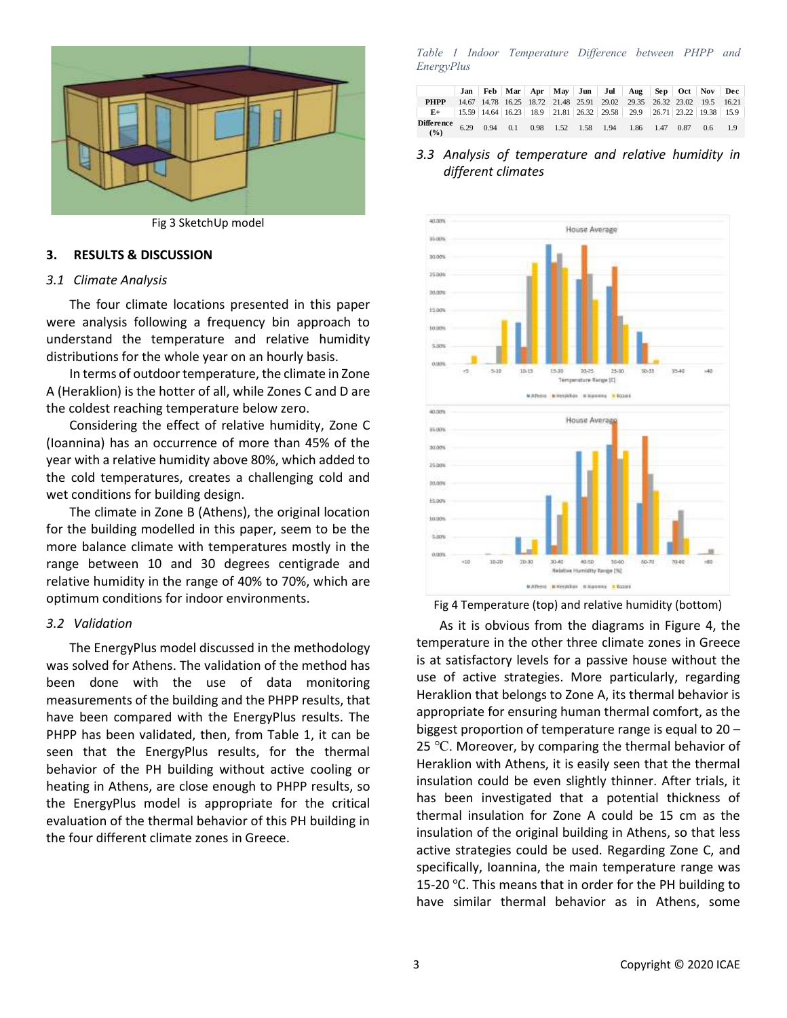

Fig 3 SketchUp model

#### **3. RESULTS & DISCUSSION**

#### *3.1 Climate Analysis*

The four climate locations presented in this paper were analysis following a frequency bin approach to understand the temperature and relative humidity distributions for the whole year on an hourly basis.

In terms of outdoor temperature, the climate in Zone A (Heraklion) is the hotter of all, while Zones C and D are the coldest reaching temperature below zero.

Considering the effect of relative humidity, Zone C (Ioannina) has an occurrence of more than 45% of the year with a relative humidity above 80%, which added to the cold temperatures, creates a challenging cold and wet conditions for building design.

The climate in Zone B (Athens), the original location for the building modelled in this paper, seem to be the more balance climate with temperatures mostly in the range between 10 and 30 degrees centigrade and relative humidity in the range of 40% to 70%, which are optimum conditions for indoor environments.

#### *3.2 Validation*

The EnergyPlus model discussed in the methodology was solved for Athens. The validation of the method has been done with the use of data monitoring measurements of the building and the PHPP results, that have been compared with the EnergyPlus results. The PHPP has been validated, then, from Table 1, it can be seen that the EnergyPlus results, for the thermal behavior of the PH building without active cooling or heating in Athens, are close enough to PHPP results, so the EnergyPlus model is appropriate for the critical evaluation of the thermal behavior of this PH building in the four different climate zones in Greece.

*Table 1 Indoor Temperature Difference between PHPP and EnergyPlus*

|                                                                                     |  |  |  | Jan   Feb   Mar   Apr   May   Jun   Jul   Aug   Sep   Oct   Nov   Dec                             |  |  |
|-------------------------------------------------------------------------------------|--|--|--|---------------------------------------------------------------------------------------------------|--|--|
| <b>PHPP</b>                                                                         |  |  |  | 14.67 14.78 16.25 18.72 21.48 25.91 29.02 29.35 26.32 23.02 19.5 16.21                            |  |  |
| $E+$                                                                                |  |  |  | $\mid$ 15.59   14.64   16.23   18.9   21.81   26.32   29.58   29.9   26.71   23.22   19.38   15.9 |  |  |
| <b>Difference</b> 6.29 0.94 0.1 0.98 1.52 1.58 1.94 1.86 1.47 0.87 0.6 1.9<br>(9/6) |  |  |  |                                                                                                   |  |  |

## *3.3 Analysis of temperature and relative humidity in different climates*



Fig 4 Temperature (top) and relative humidity (bottom)

As it is obvious from the diagrams in Figure 4, the temperature in the other three climate zones in Greece is at satisfactory levels for a passive house without the use of active strategies. More particularly, regarding Heraklion that belongs to Zone A, its thermal behavior is appropriate for ensuring human thermal comfort, as the biggest proportion of temperature range is equal to 20 – 25  $\degree$ C. Moreover, by comparing the thermal behavior of Heraklion with Athens, it is easily seen that the thermal insulation could be even slightly thinner. After trials, it has been investigated that a potential thickness of thermal insulation for Zone A could be 15 cm as the insulation of the original building in Athens, so that less active strategies could be used. Regarding Zone C, and specifically, Ioannina, the main temperature range was 15-20 ℃. This means that in order for the PH building to have similar thermal behavior as in Athens, some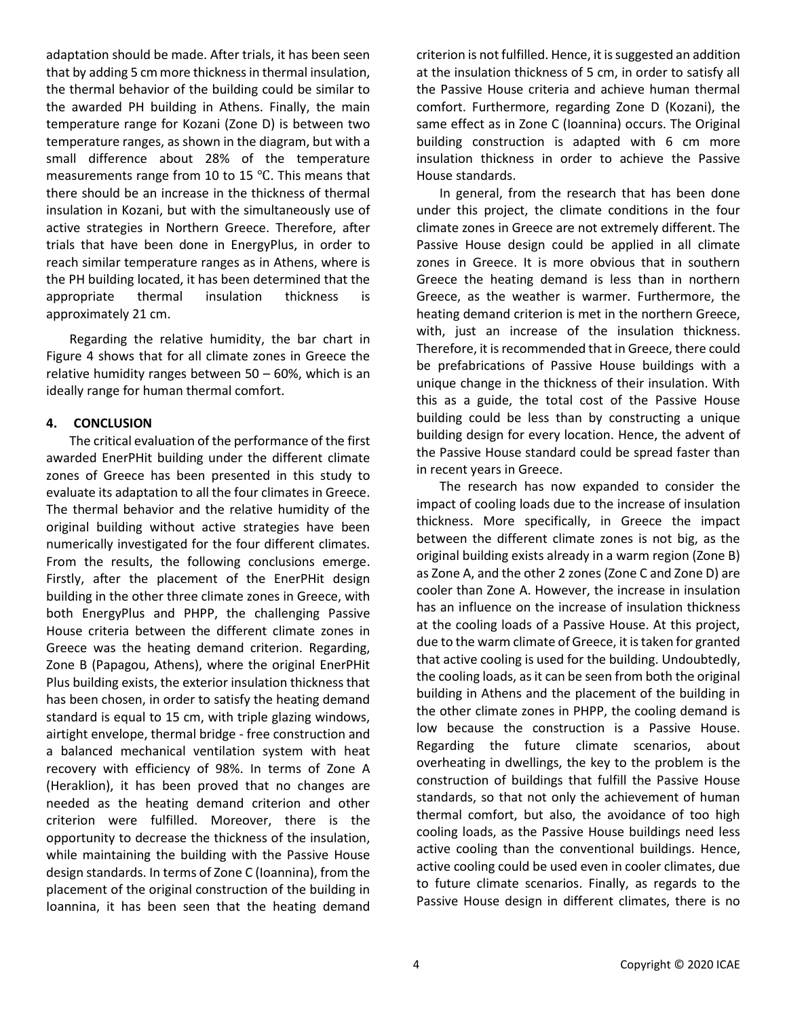adaptation should be made. After trials, it has been seen that by adding 5 cm more thickness in thermal insulation, the thermal behavior of the building could be similar to the awarded PH building in Athens. Finally, the main temperature range for Kozani (Zone D) is between two temperature ranges, as shown in the diagram, but with a small difference about 28% of the temperature measurements range from 10 to 15 ℃. This means that there should be an increase in the thickness of thermal insulation in Kozani, but with the simultaneously use of active strategies in Northern Greece. Therefore, after trials that have been done in EnergyPlus, in order to reach similar temperature ranges as in Athens, where is the PH building located, it has been determined that the appropriate thermal insulation thickness is approximately 21 cm.

Regarding the relative humidity, the bar chart in Figure 4 shows that for all climate zones in Greece the relative humidity ranges between 50 – 60%, which is an ideally range for human thermal comfort.

# **4. CONCLUSION**

The critical evaluation of the performance of the first awarded EnerPHit building under the different climate zones of Greece has been presented in this study to evaluate its adaptation to all the four climates in Greece. The thermal behavior and the relative humidity of the original building without active strategies have been numerically investigated for the four different climates. From the results, the following conclusions emerge. Firstly, after the placement of the EnerPHit design building in the other three climate zones in Greece, with both EnergyPlus and PHPP, the challenging Passive House criteria between the different climate zones in Greece was the heating demand criterion. Regarding, Zone B (Papagou, Athens), where the original EnerPHit Plus building exists, the exterior insulation thickness that has been chosen, in order to satisfy the heating demand standard is equal to 15 cm, with triple glazing windows, airtight envelope, thermal bridge - free construction and a balanced mechanical ventilation system with heat recovery with efficiency of 98%. In terms of Zone A (Heraklion), it has been proved that no changes are needed as the heating demand criterion and other criterion were fulfilled. Moreover, there is the opportunity to decrease the thickness of the insulation, while maintaining the building with the Passive House design standards. In terms of Zone C (Ioannina), from the placement of the original construction of the building in Ioannina, it has been seen that the heating demand criterion is not fulfilled. Hence, it is suggested an addition at the insulation thickness of 5 cm, in order to satisfy all the Passive House criteria and achieve human thermal comfort. Furthermore, regarding Zone D (Kozani), the same effect as in Zone C (Ioannina) occurs. The Original building construction is adapted with 6 cm more insulation thickness in order to achieve the Passive House standards.

In general, from the research that has been done under this project, the climate conditions in the four climate zones in Greece are not extremely different. The Passive House design could be applied in all climate zones in Greece. It is more obvious that in southern Greece the heating demand is less than in northern Greece, as the weather is warmer. Furthermore, the heating demand criterion is met in the northern Greece, with, just an increase of the insulation thickness. Therefore, it is recommended that in Greece, there could be prefabrications of Passive House buildings with a unique change in the thickness of their insulation. With this as a guide, the total cost of the Passive House building could be less than by constructing a unique building design for every location. Hence, the advent of the Passive House standard could be spread faster than in recent years in Greece.

The research has now expanded to consider the impact of cooling loads due to the increase of insulation thickness. More specifically, in Greece the impact between the different climate zones is not big, as the original building exists already in a warm region (Zone B) as Zone A, and the other 2 zones (Zone C and Zone D) are cooler than Zone A. However, the increase in insulation has an influence on the increase of insulation thickness at the cooling loads of a Passive House. At this project, due to the warm climate of Greece, it is taken for granted that active cooling is used for the building. Undoubtedly, the cooling loads, as it can be seen from both the original building in Athens and the placement of the building in the other climate zones in PHPP, the cooling demand is low because the construction is a Passive House. Regarding the future climate scenarios, about overheating in dwellings, the key to the problem is the construction of buildings that fulfill the Passive House standards, so that not only the achievement of human thermal comfort, but also, the avoidance of too high cooling loads, as the Passive House buildings need less active cooling than the conventional buildings. Hence, active cooling could be used even in cooler climates, due to future climate scenarios. Finally, as regards to the Passive House design in different climates, there is no